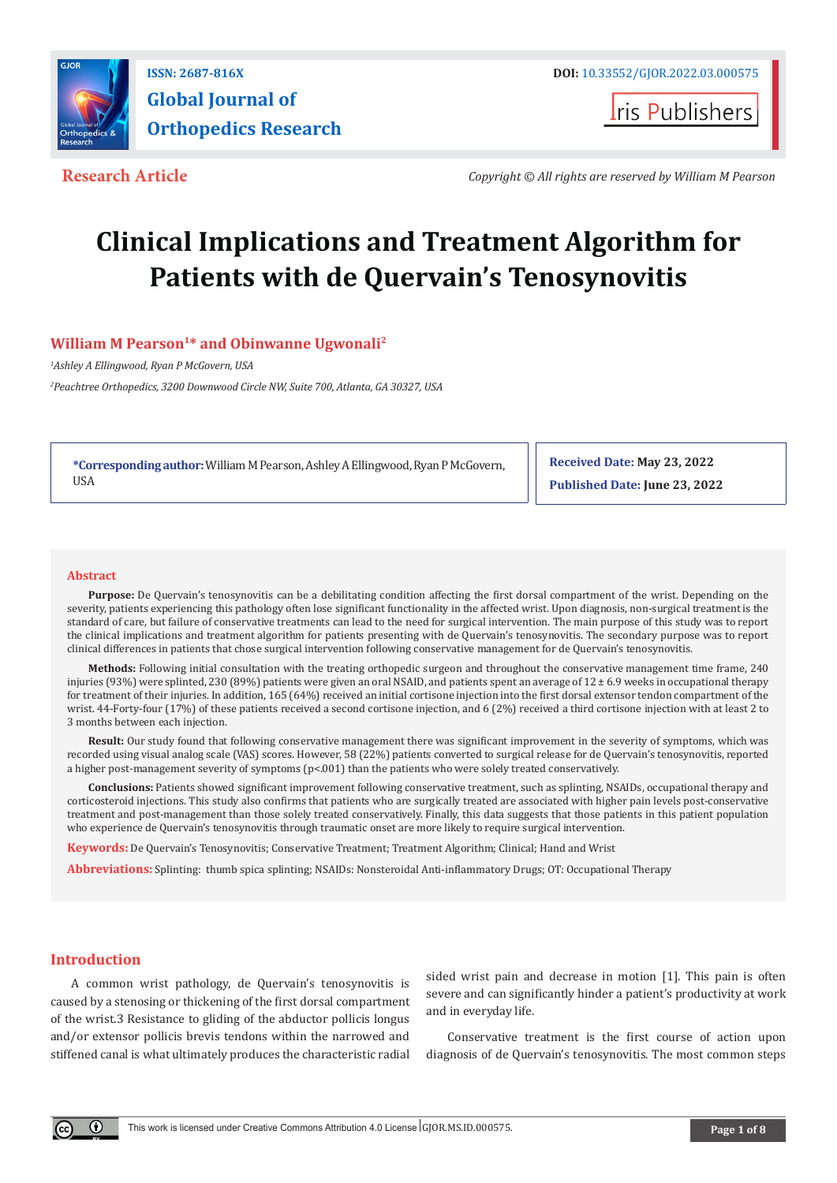

**ISSN: 2687-816X DOI:** [10.33552/GJOR.2022.03.000575](http://dx.doi.org/10.33552/GJOR.2022.03.000575)

**I**ris Publishers

**Research Article** *Copyright © All rights are reserved by William M Pearson*

# **Clinical Implications and Treatment Algorithm for Patients with de Quervain's Tenosynovitis**

# **William M Pearson<sup>1\*</sup> and Obinwanne Ugwonali<sup>2</sup>**

*1 Ashley A Ellingwood, Ryan P McGovern, USA* 

*2 Peachtree Orthopedics, 3200 Downwood Circle NW, Suite 700, Atlanta, GA 30327, USA* 

**\*Corresponding author:**William M Pearson, Ashley A Ellingwood, Ryan P McGovern, USA

**Received Date: May 23, 2022 Published Date: June 23, 2022**

#### **Abstract**

Purpose: De Quervain's tenosynovitis can be a debilitating condition affecting the first dorsal compartment of the wrist. Depending on the severity, patients experiencing this pathology often lose significant functionality in the affected wrist. Upon diagnosis, non-surgical treatment is the standard of care, but failure of conservative treatments can lead to the need for surgical intervention. The main purpose of this study was to report the clinical implications and treatment algorithm for patients presenting with de Quervain's tenosynovitis. The secondary purpose was to report clinical differences in patients that chose surgical intervention following conservative management for de Quervain's tenosynovitis.

**Methods:** Following initial consultation with the treating orthopedic surgeon and throughout the conservative management time frame, 240 injuries (93%) were splinted, 230 (89%) patients were given an oral NSAID, and patients spent an average of  $12 \pm 6.9$  weeks in occupational therapy for treatment of their injuries. In addition, 165 (64%) received an initial cortisone injection into the first dorsal extensor tendon compartment of the wrist. 44-Forty-four (17%) of these patients received a second cortisone injection, and 6 (2%) received a third cortisone injection with at least 2 to 3 months between each injection.

**Result:** Our study found that following conservative management there was significant improvement in the severity of symptoms, which was recorded using visual analog scale (VAS) scores. However, 58 (22%) patients converted to surgical release for de Quervain's tenosynovitis, reported a higher post-management severity of symptoms (p<.001) than the patients who were solely treated conservatively.

**Conclusions:** Patients showed significant improvement following conservative treatment, such as splinting, NSAIDs, occupational therapy and corticosteroid injections. This study also confirms that patients who are surgically treated are associated with higher pain levels post-conservative treatment and post-management than those solely treated conservatively. Finally, this data suggests that those patients in this patient population who experience de Quervain's tenosynovitis through traumatic onset are more likely to require surgical intervention.

**Keywords:** De Quervain's Tenosynovitis; Conservative Treatment; Treatment Algorithm; Clinical; Hand and Wrist

**Abbreviations:** Splinting: thumb spica splinting; NSAIDs: Nonsteroidal Anti-inflammatory Drugs; OT: Occupational Therapy

# **Introduction**

 $^{\circ}$ 

A common wrist pathology, de Quervain's tenosynovitis is caused by a stenosing or thickening of the first dorsal compartment of the wrist.3 Resistance to gliding of the abductor pollicis longus and/or extensor pollicis brevis tendons within the narrowed and stiffened canal is what ultimately produces the characteristic radial sided wrist pain and decrease in motion [1]. This pain is often severe and can significantly hinder a patient's productivity at work and in everyday life.

Conservative treatment is the first course of action upon diagnosis of de Quervain's tenosynovitis. The most common steps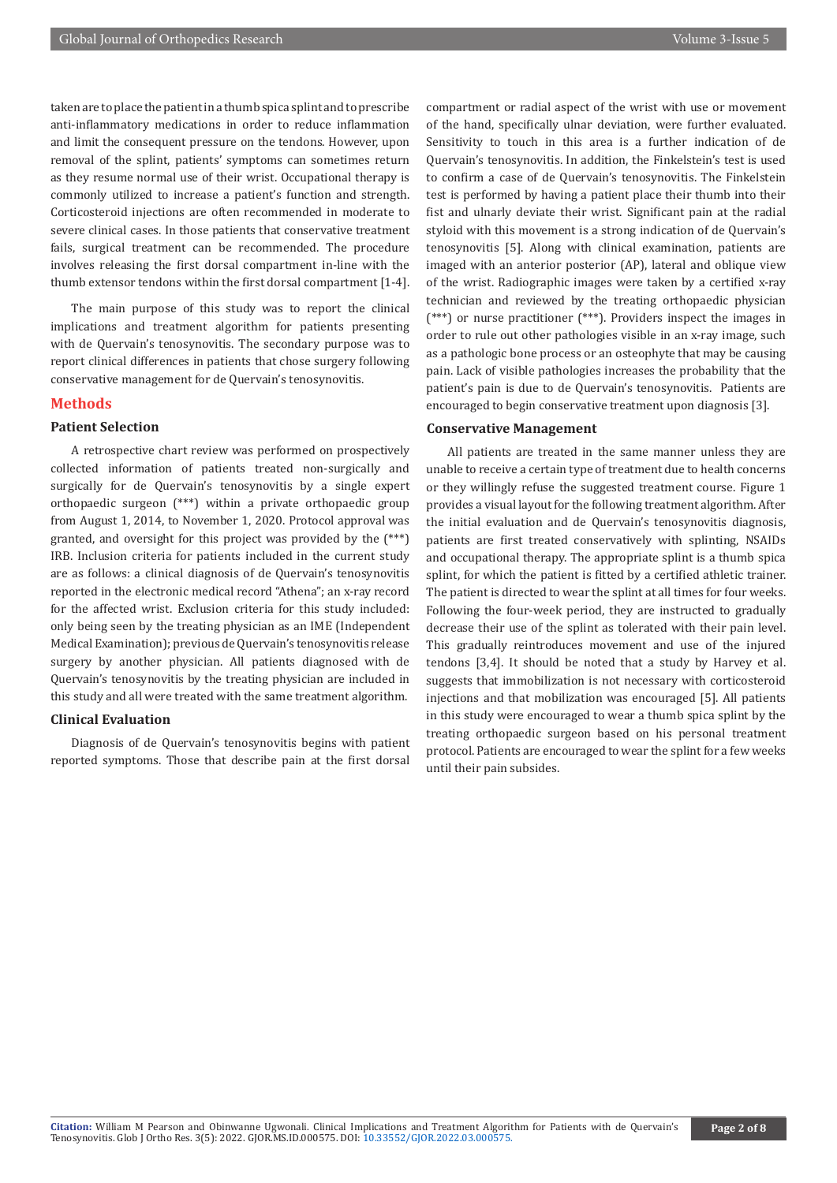taken are to place the patient in a thumb spica splint and to prescribe anti-inflammatory medications in order to reduce inflammation and limit the consequent pressure on the tendons. However, upon removal of the splint, patients' symptoms can sometimes return as they resume normal use of their wrist. Occupational therapy is commonly utilized to increase a patient's function and strength. Corticosteroid injections are often recommended in moderate to severe clinical cases. In those patients that conservative treatment fails, surgical treatment can be recommended. The procedure involves releasing the first dorsal compartment in-line with the thumb extensor tendons within the first dorsal compartment [1-4].

The main purpose of this study was to report the clinical implications and treatment algorithm for patients presenting with de Quervain's tenosynovitis. The secondary purpose was to report clinical differences in patients that chose surgery following conservative management for de Quervain's tenosynovitis.

#### **Methods**

## **Patient Selection**

A retrospective chart review was performed on prospectively collected information of patients treated non-surgically and surgically for de Quervain's tenosynovitis by a single expert orthopaedic surgeon (\*\*\*) within a private orthopaedic group from August 1, 2014, to November 1, 2020. Protocol approval was granted, and oversight for this project was provided by the (\*\*\*) IRB. Inclusion criteria for patients included in the current study are as follows: a clinical diagnosis of de Quervain's tenosynovitis reported in the electronic medical record "Athena"; an x-ray record for the affected wrist. Exclusion criteria for this study included: only being seen by the treating physician as an IME (Independent Medical Examination); previous de Quervain's tenosynovitis release surgery by another physician. All patients diagnosed with de Quervain's tenosynovitis by the treating physician are included in this study and all were treated with the same treatment algorithm.

#### **Clinical Evaluation**

Diagnosis of de Quervain's tenosynovitis begins with patient reported symptoms. Those that describe pain at the first dorsal

compartment or radial aspect of the wrist with use or movement of the hand, specifically ulnar deviation, were further evaluated. Sensitivity to touch in this area is a further indication of de Quervain's tenosynovitis. In addition, the Finkelstein's test is used to confirm a case of de Quervain's tenosynovitis. The Finkelstein test is performed by having a patient place their thumb into their fist and ulnarly deviate their wrist. Significant pain at the radial styloid with this movement is a strong indication of de Quervain's tenosynovitis [5]. Along with clinical examination, patients are imaged with an anterior posterior (AP), lateral and oblique view of the wrist. Radiographic images were taken by a certified x-ray technician and reviewed by the treating orthopaedic physician (\*\*\*) or nurse practitioner (\*\*\*). Providers inspect the images in order to rule out other pathologies visible in an x-ray image, such as a pathologic bone process or an osteophyte that may be causing pain. Lack of visible pathologies increases the probability that the patient's pain is due to de Quervain's tenosynovitis. Patients are encouraged to begin conservative treatment upon diagnosis [3].

#### **Conservative Management**

All patients are treated in the same manner unless they are unable to receive a certain type of treatment due to health concerns or they willingly refuse the suggested treatment course. Figure 1 provides a visual layout for the following treatment algorithm. After the initial evaluation and de Quervain's tenosynovitis diagnosis, patients are first treated conservatively with splinting, NSAIDs and occupational therapy. The appropriate splint is a thumb spica splint, for which the patient is fitted by a certified athletic trainer. The patient is directed to wear the splint at all times for four weeks. Following the four-week period, they are instructed to gradually decrease their use of the splint as tolerated with their pain level. This gradually reintroduces movement and use of the injured tendons [3,4]. It should be noted that a study by Harvey et al. suggests that immobilization is not necessary with corticosteroid injections and that mobilization was encouraged [5]. All patients in this study were encouraged to wear a thumb spica splint by the treating orthopaedic surgeon based on his personal treatment protocol. Patients are encouraged to wear the splint for a few weeks until their pain subsides.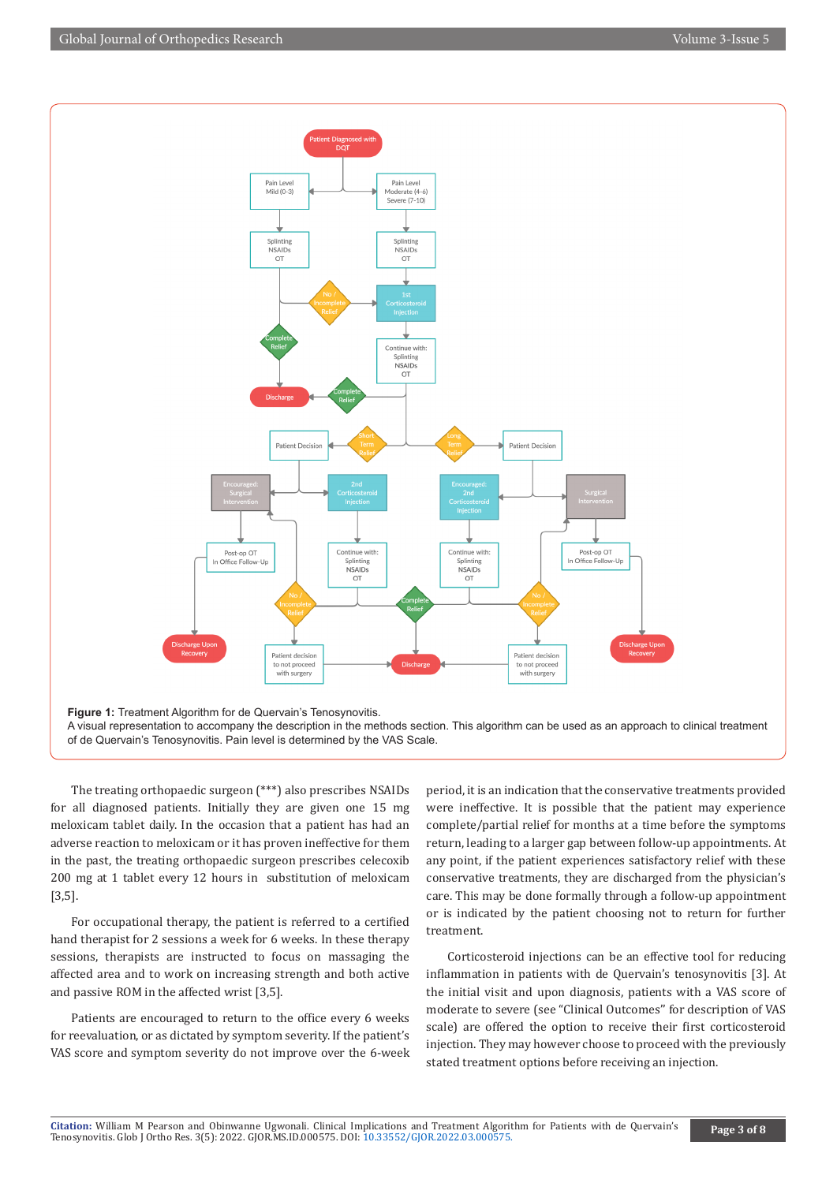

A visual representation to accompany the description in the methods section. This algorithm can be used as an approach to clinical treatment of de Quervain's Tenosynovitis. Pain level is determined by the VAS Scale.

The treating orthopaedic surgeon (\*\*\*) also prescribes NSAIDs for all diagnosed patients. Initially they are given one 15 mg meloxicam tablet daily. In the occasion that a patient has had an adverse reaction to meloxicam or it has proven ineffective for them in the past, the treating orthopaedic surgeon prescribes celecoxib 200 mg at 1 tablet every 12 hours in substitution of meloxicam [3,5].

For occupational therapy, the patient is referred to a certified hand therapist for 2 sessions a week for 6 weeks. In these therapy sessions, therapists are instructed to focus on massaging the affected area and to work on increasing strength and both active and passive ROM in the affected wrist [3,5].

Patients are encouraged to return to the office every 6 weeks for reevaluation, or as dictated by symptom severity. If the patient's VAS score and symptom severity do not improve over the 6-week period, it is an indication that the conservative treatments provided were ineffective. It is possible that the patient may experience complete/partial relief for months at a time before the symptoms return, leading to a larger gap between follow-up appointments. At any point, if the patient experiences satisfactory relief with these conservative treatments, they are discharged from the physician's care. This may be done formally through a follow-up appointment or is indicated by the patient choosing not to return for further treatment.

Corticosteroid injections can be an effective tool for reducing inflammation in patients with de Quervain's tenosynovitis [3]. At the initial visit and upon diagnosis, patients with a VAS score of moderate to severe (see "Clinical Outcomes'' for description of VAS scale) are offered the option to receive their first corticosteroid injection. They may however choose to proceed with the previously stated treatment options before receiving an injection.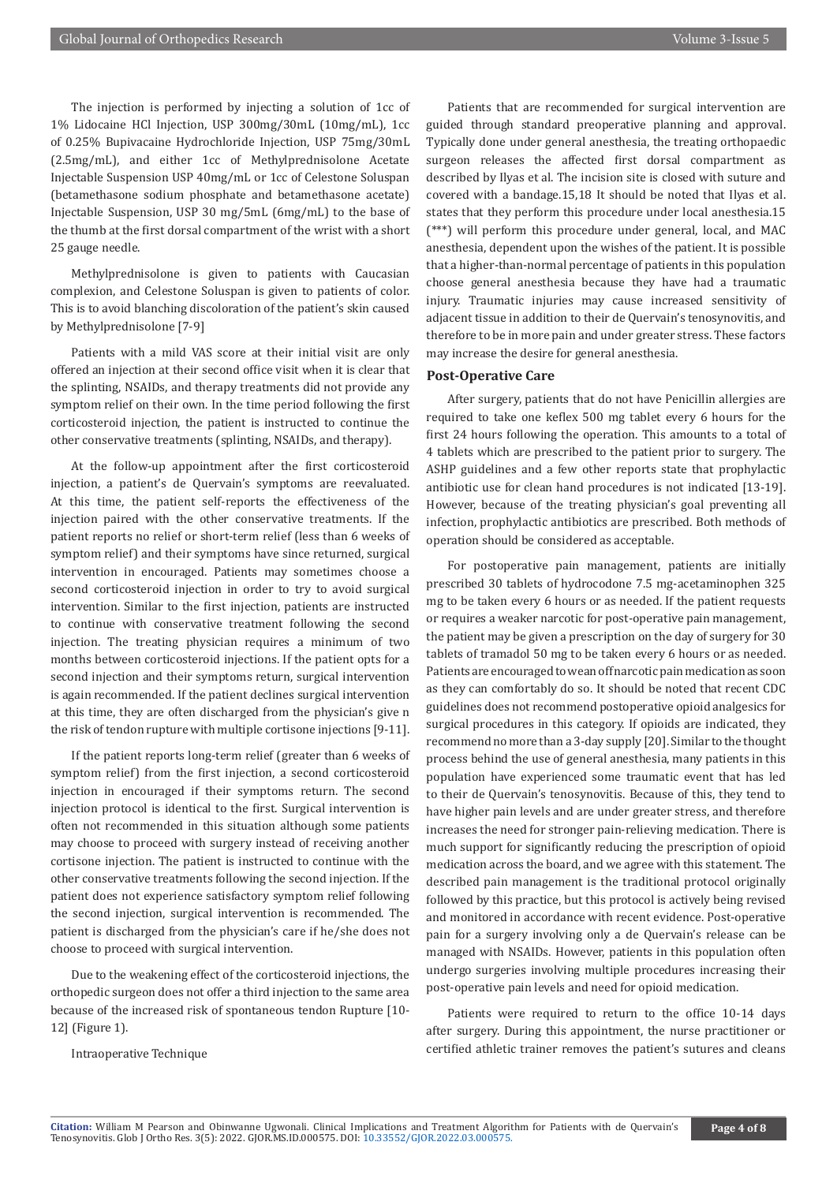The injection is performed by injecting a solution of 1cc of 1% Lidocaine HCl Injection, USP 300mg/30mL (10mg/mL), 1cc of 0.25% Bupivacaine Hydrochloride Injection, USP 75mg/30mL (2.5mg/mL), and either 1cc of Methylprednisolone Acetate Injectable Suspension USP 40mg/mL or 1cc of Celestone Soluspan (betamethasone sodium phosphate and betamethasone acetate) Injectable Suspension, USP 30 mg/5mL (6mg/mL) to the base of the thumb at the first dorsal compartment of the wrist with a short 25 gauge needle.

Methylprednisolone is given to patients with Caucasian complexion, and Celestone Soluspan is given to patients of color. This is to avoid blanching discoloration of the patient's skin caused by Methylprednisolone [7-9]

Patients with a mild VAS score at their initial visit are only offered an injection at their second office visit when it is clear that the splinting, NSAIDs, and therapy treatments did not provide any symptom relief on their own. In the time period following the first corticosteroid injection, the patient is instructed to continue the other conservative treatments (splinting, NSAIDs, and therapy).

At the follow-up appointment after the first corticosteroid injection, a patient's de Quervain's symptoms are reevaluated. At this time, the patient self-reports the effectiveness of the injection paired with the other conservative treatments. If the patient reports no relief or short-term relief (less than 6 weeks of symptom relief) and their symptoms have since returned, surgical intervention in encouraged. Patients may sometimes choose a second corticosteroid injection in order to try to avoid surgical intervention. Similar to the first injection, patients are instructed to continue with conservative treatment following the second injection. The treating physician requires a minimum of two months between corticosteroid injections. If the patient opts for a second injection and their symptoms return, surgical intervention is again recommended. If the patient declines surgical intervention at this time, they are often discharged from the physician's give n the risk of tendon rupture with multiple cortisone injections [9-11].

If the patient reports long-term relief (greater than 6 weeks of symptom relief) from the first injection, a second corticosteroid injection in encouraged if their symptoms return. The second injection protocol is identical to the first. Surgical intervention is often not recommended in this situation although some patients may choose to proceed with surgery instead of receiving another cortisone injection. The patient is instructed to continue with the other conservative treatments following the second injection. If the patient does not experience satisfactory symptom relief following the second injection, surgical intervention is recommended. The patient is discharged from the physician's care if he/she does not choose to proceed with surgical intervention.

Due to the weakening effect of the corticosteroid injections, the orthopedic surgeon does not offer a third injection to the same area because of the increased risk of spontaneous tendon Rupture [10- 12] (Figure 1).

Intraoperative Technique

Patients that are recommended for surgical intervention are guided through standard preoperative planning and approval. Typically done under general anesthesia, the treating orthopaedic surgeon releases the affected first dorsal compartment as described by Ilyas et al. The incision site is closed with suture and covered with a bandage.15,18 It should be noted that Ilyas et al. states that they perform this procedure under local anesthesia.15 (\*\*\*) will perform this procedure under general, local, and MAC anesthesia, dependent upon the wishes of the patient. It is possible that a higher-than-normal percentage of patients in this population choose general anesthesia because they have had a traumatic injury. Traumatic injuries may cause increased sensitivity of adjacent tissue in addition to their de Quervain's tenosynovitis, and therefore to be in more pain and under greater stress. These factors may increase the desire for general anesthesia.

#### **Post-Operative Care**

After surgery, patients that do not have Penicillin allergies are required to take one keflex 500 mg tablet every 6 hours for the first 24 hours following the operation. This amounts to a total of 4 tablets which are prescribed to the patient prior to surgery. The ASHP guidelines and a few other reports state that prophylactic antibiotic use for clean hand procedures is not indicated [13-19]. However, because of the treating physician's goal preventing all infection, prophylactic antibiotics are prescribed. Both methods of operation should be considered as acceptable.

For postoperative pain management, patients are initially prescribed 30 tablets of hydrocodone 7.5 mg-acetaminophen 325 mg to be taken every 6 hours or as needed. If the patient requests or requires a weaker narcotic for post-operative pain management, the patient may be given a prescription on the day of surgery for 30 tablets of tramadol 50 mg to be taken every 6 hours or as needed. Patients are encouraged to wean off narcotic pain medication as soon as they can comfortably do so. It should be noted that recent CDC guidelines does not recommend postoperative opioid analgesics for surgical procedures in this category. If opioids are indicated, they recommend no more than a 3-day supply [20]. Similar to the thought process behind the use of general anesthesia, many patients in this population have experienced some traumatic event that has led to their de Quervain's tenosynovitis. Because of this, they tend to have higher pain levels and are under greater stress, and therefore increases the need for stronger pain-relieving medication. There is much support for significantly reducing the prescription of opioid medication across the board, and we agree with this statement. The described pain management is the traditional protocol originally followed by this practice, but this protocol is actively being revised and monitored in accordance with recent evidence. Post-operative pain for a surgery involving only a de Quervain's release can be managed with NSAIDs. However, patients in this population often undergo surgeries involving multiple procedures increasing their post-operative pain levels and need for opioid medication.

Patients were required to return to the office 10-14 days after surgery. During this appointment, the nurse practitioner or certified athletic trainer removes the patient's sutures and cleans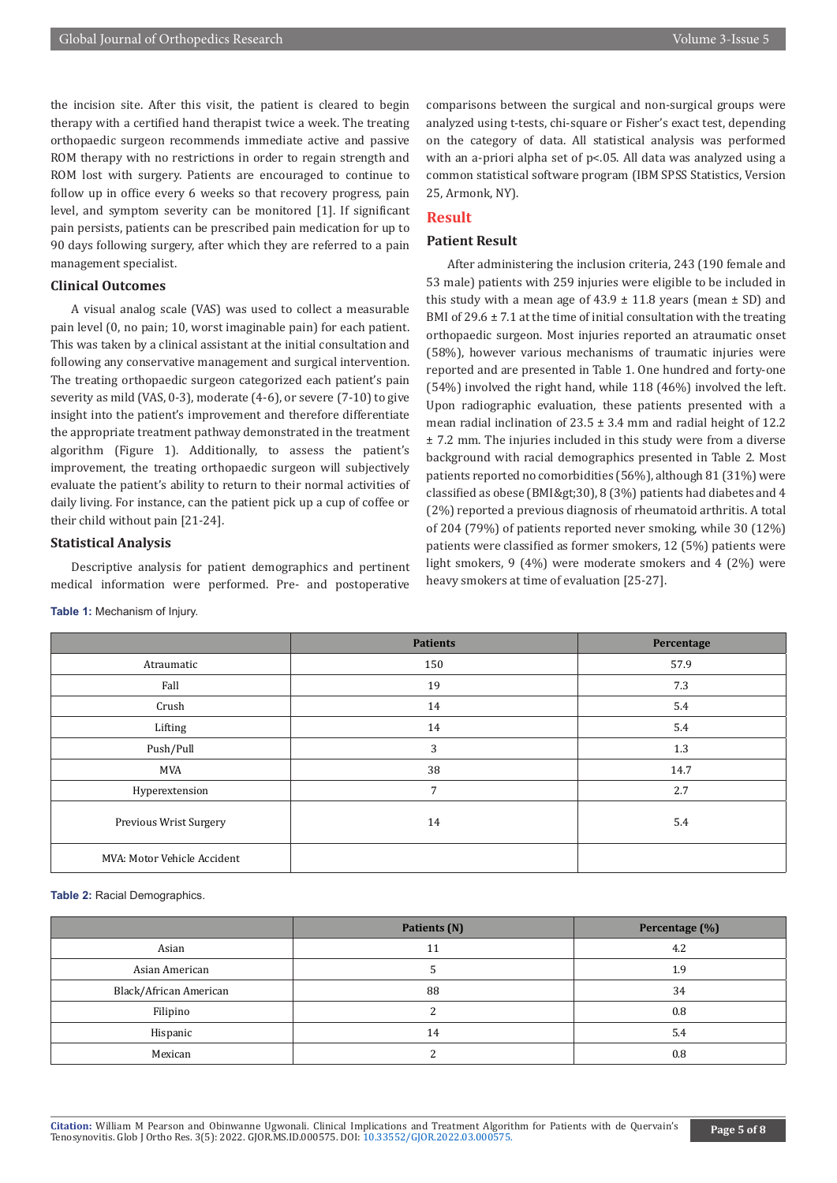the incision site. After this visit, the patient is cleared to begin therapy with a certified hand therapist twice a week. The treating orthopaedic surgeon recommends immediate active and passive ROM therapy with no restrictions in order to regain strength and ROM lost with surgery. Patients are encouraged to continue to follow up in office every 6 weeks so that recovery progress, pain level, and symptom severity can be monitored [1]. If significant pain persists, patients can be prescribed pain medication for up to 90 days following surgery, after which they are referred to a pain management specialist.

#### **Clinical Outcomes**

A visual analog scale (VAS) was used to collect a measurable pain level (0, no pain; 10, worst imaginable pain) for each patient. This was taken by a clinical assistant at the initial consultation and following any conservative management and surgical intervention. The treating orthopaedic surgeon categorized each patient's pain severity as mild (VAS, 0-3), moderate (4-6), or severe (7-10) to give insight into the patient's improvement and therefore differentiate the appropriate treatment pathway demonstrated in the treatment algorithm (Figure 1). Additionally, to assess the patient's improvement, the treating orthopaedic surgeon will subjectively evaluate the patient's ability to return to their normal activities of daily living. For instance, can the patient pick up a cup of coffee or their child without pain [21-24].

#### **Statistical Analysis**

Descriptive analysis for patient demographics and pertinent medical information were performed. Pre- and postoperative

#### **Table 1:** Mechanism of Injury.

comparisons between the surgical and non-surgical groups were analyzed using t-tests, chi-square or Fisher's exact test, depending on the category of data. All statistical analysis was performed with an a-priori alpha set of p<.05. All data was analyzed using a common statistical software program (IBM SPSS Statistics, Version 25, Armonk, NY).

# **Result**

### **Patient Result**

After administering the inclusion criteria, 243 (190 female and 53 male) patients with 259 injuries were eligible to be included in this study with a mean age of  $43.9 \pm 11.8$  years (mean  $\pm$  SD) and BMI of  $29.6 \pm 7.1$  at the time of initial consultation with the treating orthopaedic surgeon. Most injuries reported an atraumatic onset (58%), however various mechanisms of traumatic injuries were reported and are presented in Table 1. One hundred and forty-one (54%) involved the right hand, while 118 (46%) involved the left. Upon radiographic evaluation, these patients presented with a mean radial inclination of  $23.5 \pm 3.4$  mm and radial height of 12.2 ± 7.2 mm. The injuries included in this study were from a diverse background with racial demographics presented in Table 2. Most patients reported no comorbidities (56%), although 81 (31%) were classified as obese (BMI> 30), 8 (3%) patients had diabetes and 4 (2%) reported a previous diagnosis of rheumatoid arthritis. A total of 204 (79%) of patients reported never smoking, while 30 (12%) patients were classified as former smokers, 12 (5%) patients were light smokers, 9 (4%) were moderate smokers and 4 (2%) were heavy smokers at time of evaluation [25-27].

|                             | <b>Patients</b> | Percentage |
|-----------------------------|-----------------|------------|
| Atraumatic                  | 150             | 57.9       |
| Fall                        | 19              | 7.3        |
| Crush                       | 14              | 5.4        |
| Lifting                     | 14              | 5.4        |
| Push/Pull                   | 3               | 1.3        |
| MVA                         | 38              | 14.7       |
| Hyperextension              | 7               | 2.7        |
| Previous Wrist Surgery      | 14              | 5.4        |
| MVA: Motor Vehicle Accident |                 |            |

**Table 2:** Racial Demographics.

|                        | Patients (N) | Percentage (%) |
|------------------------|--------------|----------------|
| Asian                  | 11           | 4.2            |
| Asian American         |              | 1.9            |
| Black/African American | 88           | 34             |
| Filipino               |              | 0.8            |
| Hispanic               | 14           | 5.4            |
| Mexican                |              | 0.8            |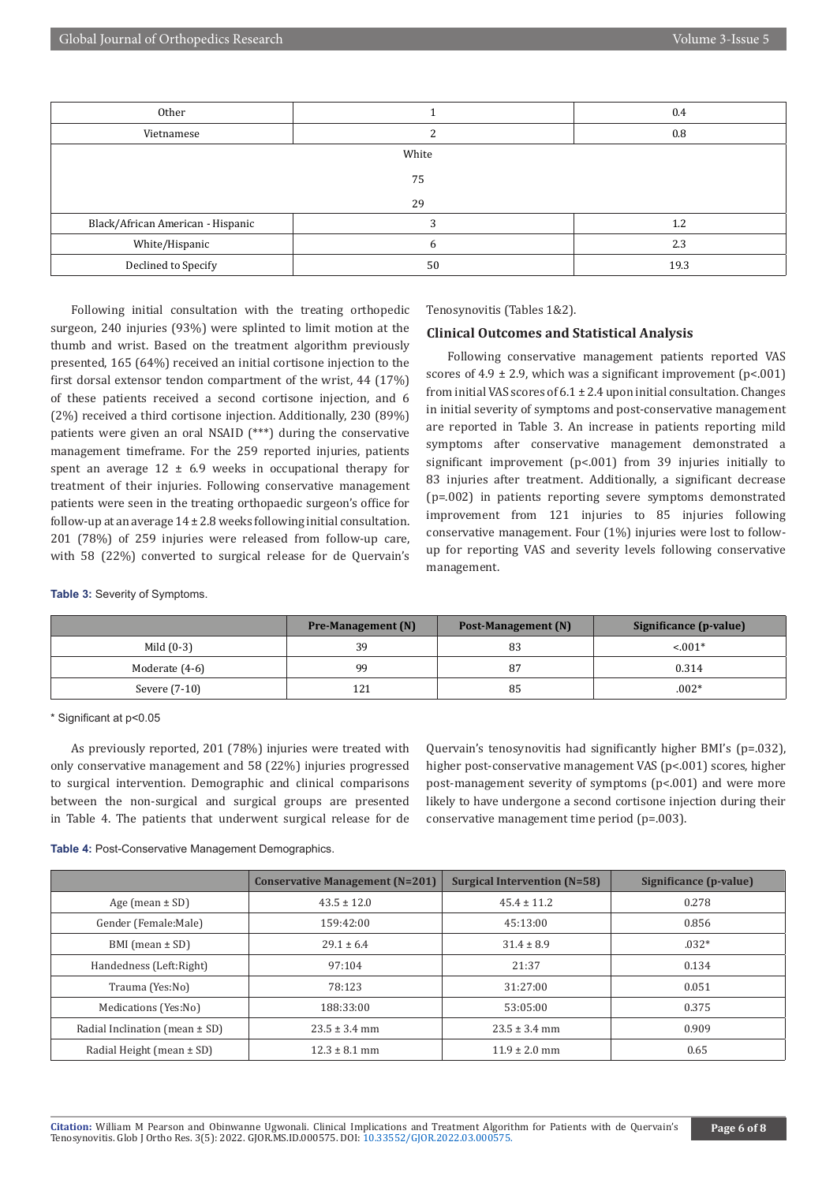| Other                             |    | 0.4  |  |
|-----------------------------------|----|------|--|
| Vietnamese                        |    |      |  |
| White                             |    |      |  |
| 75                                |    |      |  |
| 29                                |    |      |  |
| Black/African American - Hispanic |    | 1.2  |  |
| White/Hispanic                    | h  | 2.3  |  |
| Declined to Specify               | 50 | 19.3 |  |

Following initial consultation with the treating orthopedic surgeon, 240 injuries (93%) were splinted to limit motion at the thumb and wrist. Based on the treatment algorithm previously presented, 165 (64%) received an initial cortisone injection to the first dorsal extensor tendon compartment of the wrist, 44 (17%) of these patients received a second cortisone injection, and 6 (2%) received a third cortisone injection. Additionally, 230 (89%) patients were given an oral NSAID (\*\*\*) during the conservative management timeframe. For the 259 reported injuries, patients spent an average  $12 \pm 6.9$  weeks in occupational therapy for treatment of their injuries. Following conservative management patients were seen in the treating orthopaedic surgeon's office for follow-up at an average  $14 \pm 2.8$  weeks following initial consultation. 201 (78%) of 259 injuries were released from follow-up care, with 58 (22%) converted to surgical release for de Quervain's

Tenosynovitis (Tables 1&2).

#### **Clinical Outcomes and Statistical Analysis**

Following conservative management patients reported VAS scores of  $4.9 \pm 2.9$ , which was a significant improvement (p<.001) from initial VAS scores of  $6.1 \pm 2.4$  upon initial consultation. Changes in initial severity of symptoms and post-conservative management are reported in Table 3. An increase in patients reporting mild symptoms after conservative management demonstrated a significant improvement (p<.001) from 39 injuries initially to 83 injuries after treatment. Additionally, a significant decrease (p=.002) in patients reporting severe symptoms demonstrated improvement from 121 injuries to 85 injuries following conservative management. Four (1%) injuries were lost to followup for reporting VAS and severity levels following conservative management.

**Table 3:** Severity of Symptoms.

|                | <b>Pre-Management</b> (N) | Post-Management (N) | Significance (p-value) |
|----------------|---------------------------|---------------------|------------------------|
| Mild $(0-3)$   | 39                        | 83                  | $< 0.01*$              |
| Moderate (4-6) | 99                        | 87                  | 0.314                  |
| Severe (7-10)  | 121                       | 85                  | $.002*$                |

\* Significant at p<0.05

As previously reported, 201 (78%) injuries were treated with only conservative management and 58 (22%) injuries progressed to surgical intervention. Demographic and clinical comparisons between the non-surgical and surgical groups are presented in Table 4. The patients that underwent surgical release for de Quervain's tenosynovitis had significantly higher BMI's (p=.032), higher post-conservative management VAS (p<.001) scores, higher post-management severity of symptoms (p<.001) and were more likely to have undergone a second cortisone injection during their conservative management time period (p=.003).

**Table 4:** Post-Conservative Management Demographics.

|                                    | <b>Conservative Management (N=201)</b> | <b>Surgical Intervention (N=58)</b> | Significance (p-value) |
|------------------------------------|----------------------------------------|-------------------------------------|------------------------|
| Age (mean $\pm$ SD)                | $43.5 \pm 12.0$                        | $45.4 \pm 11.2$                     | 0.278                  |
| Gender (Female:Male)               | 159:42:00                              | 45:13:00                            | 0.856                  |
| BMI (mean $\pm$ SD)                | $29.1 \pm 6.4$                         | $31.4 \pm 8.9$                      | $.032*$                |
| Handedness (Left:Right)            | 97:104                                 | 21:37                               | 0.134                  |
| Trauma (Yes:No)                    | 78:123                                 | 31:27:00                            | 0.051                  |
| Medications (Yes:No)               | 188:33:00                              | 53:05:00                            | 0.375                  |
| Radial Inclination (mean $\pm$ SD) | $23.5 \pm 3.4$ mm                      | $23.5 \pm 3.4$ mm                   | 0.909                  |
| Radial Height (mean $\pm$ SD)      | $12.3 \pm 8.1$ mm                      | $11.9 \pm 2.0$ mm                   | 0.65                   |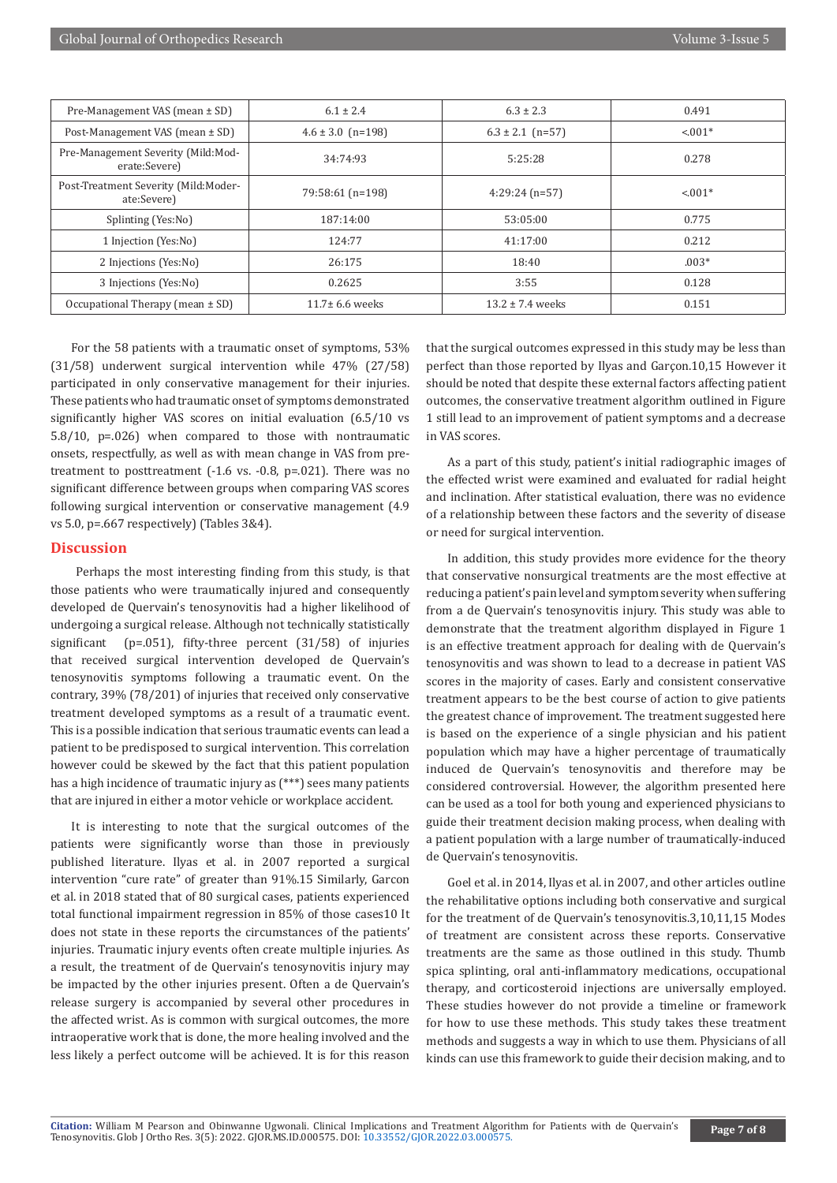| Pre-Management VAS (mean ± SD)                      | $6.1 \pm 2.4$         | $6.3 \pm 2.3$        | 0.491     |
|-----------------------------------------------------|-----------------------|----------------------|-----------|
| Post-Management VAS (mean ± SD)                     | $4.6 \pm 3.0$ (n=198) | $6.3 \pm 2.1$ (n=57) | $< 0.01*$ |
| Pre-Management Severity (Mild:Mod-<br>erate:Severe) | 34:74:93              | 5:25:28              | 0.278     |
| Post-Treatment Severity (Mild:Moder-<br>ate:Severe) | 79:58:61 (n=198)      | $4:29:24(n=57)$      | $< 0.01*$ |
| Splinting (Yes:No)                                  | 187:14:00             | 53:05:00             | 0.775     |
| 1 Injection (Yes:No)                                | 124:77                | 41:17:00             | 0.212     |
| 2 Injections (Yes:No)                               | 26:175                | 18:40                | $.003*$   |
| 3 Injections (Yes:No)                               | 0.2625                | 3:55                 | 0.128     |
| Occupational Therapy (mean $\pm$ SD)                | $11.7 \pm 6.6$ weeks  | $13.2 \pm 7.4$ weeks | 0.151     |

For the 58 patients with a traumatic onset of symptoms, 53% (31/58) underwent surgical intervention while 47% (27/58) participated in only conservative management for their injuries. These patients who had traumatic onset of symptoms demonstrated significantly higher VAS scores on initial evaluation (6.5/10 vs 5.8/10, p=.026) when compared to those with nontraumatic onsets, respectfully, as well as with mean change in VAS from pretreatment to posttreatment (-1.6 vs. -0.8, p=.021). There was no significant difference between groups when comparing VAS scores following surgical intervention or conservative management (4.9 vs 5.0, p=.667 respectively) (Tables 3&4).

### **Discussion**

 Perhaps the most interesting finding from this study, is that those patients who were traumatically injured and consequently developed de Quervain's tenosynovitis had a higher likelihood of undergoing a surgical release. Although not technically statistically significant (p=.051), fifty-three percent (31/58) of injuries that received surgical intervention developed de Quervain's tenosynovitis symptoms following a traumatic event. On the contrary, 39% (78/201) of injuries that received only conservative treatment developed symptoms as a result of a traumatic event. This is a possible indication that serious traumatic events can lead a patient to be predisposed to surgical intervention. This correlation however could be skewed by the fact that this patient population has a high incidence of traumatic injury as (\*\*\*) sees many patients that are injured in either a motor vehicle or workplace accident.

It is interesting to note that the surgical outcomes of the patients were significantly worse than those in previously published literature. Ilyas et al. in 2007 reported a surgical intervention "cure rate" of greater than 91%.15 Similarly, Garcon et al. in 2018 stated that of 80 surgical cases, patients experienced total functional impairment regression in 85% of those cases10 It does not state in these reports the circumstances of the patients' injuries. Traumatic injury events often create multiple injuries. As a result, the treatment of de Quervain's tenosynovitis injury may be impacted by the other injuries present. Often a de Quervain's release surgery is accompanied by several other procedures in the affected wrist. As is common with surgical outcomes, the more intraoperative work that is done, the more healing involved and the less likely a perfect outcome will be achieved. It is for this reason

that the surgical outcomes expressed in this study may be less than perfect than those reported by Ilyas and Garçon.10,15 However it should be noted that despite these external factors affecting patient outcomes, the conservative treatment algorithm outlined in Figure 1 still lead to an improvement of patient symptoms and a decrease in VAS scores.

As a part of this study, patient's initial radiographic images of the effected wrist were examined and evaluated for radial height and inclination. After statistical evaluation, there was no evidence of a relationship between these factors and the severity of disease or need for surgical intervention.

In addition, this study provides more evidence for the theory that conservative nonsurgical treatments are the most effective at reducing a patient's pain level and symptom severity when suffering from a de Quervain's tenosynovitis injury. This study was able to demonstrate that the treatment algorithm displayed in Figure 1 is an effective treatment approach for dealing with de Quervain's tenosynovitis and was shown to lead to a decrease in patient VAS scores in the majority of cases. Early and consistent conservative treatment appears to be the best course of action to give patients the greatest chance of improvement. The treatment suggested here is based on the experience of a single physician and his patient population which may have a higher percentage of traumatically induced de Quervain's tenosynovitis and therefore may be considered controversial. However, the algorithm presented here can be used as a tool for both young and experienced physicians to guide their treatment decision making process, when dealing with a patient population with a large number of traumatically-induced de Quervain's tenosynovitis.

Goel et al. in 2014, Ilyas et al. in 2007, and other articles outline the rehabilitative options including both conservative and surgical for the treatment of de Quervain's tenosynovitis.3,10,11,15 Modes of treatment are consistent across these reports. Conservative treatments are the same as those outlined in this study. Thumb spica splinting, oral anti-inflammatory medications, occupational therapy, and corticosteroid injections are universally employed. These studies however do not provide a timeline or framework for how to use these methods. This study takes these treatment methods and suggests a way in which to use them. Physicians of all kinds can use this framework to guide their decision making, and to